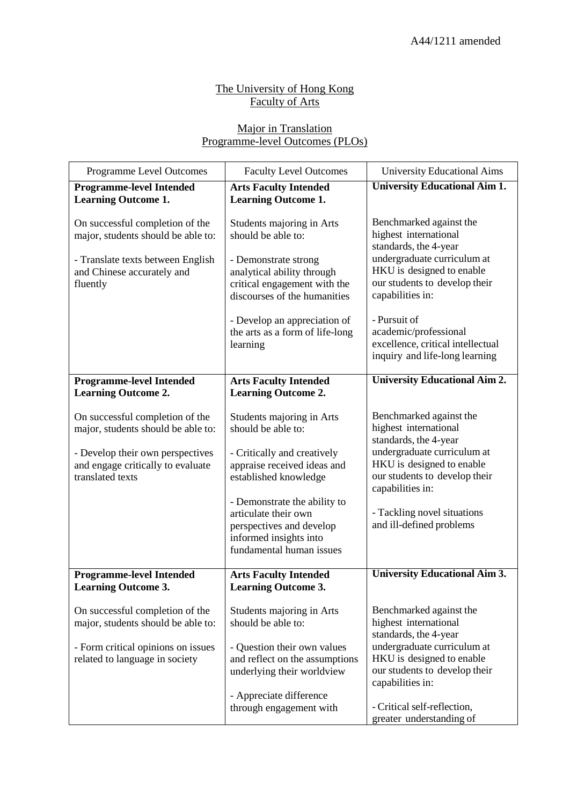## The University of Hong Kong **Faculty of Arts**

## Major in Translation Programme-level Outcomes (PLOs)

| Programme Level Outcomes                                              | <b>Faculty Level Outcomes</b>                              | <b>University Educational Aims</b>                         |
|-----------------------------------------------------------------------|------------------------------------------------------------|------------------------------------------------------------|
| <b>Programme-level Intended</b><br><b>Learning Outcome 1.</b>         | <b>Arts Faculty Intended</b><br><b>Learning Outcome 1.</b> | <b>University Educational Aim 1.</b>                       |
|                                                                       |                                                            |                                                            |
| On successful completion of the<br>major, students should be able to: | Students majoring in Arts<br>should be able to:            | Benchmarked against the<br>highest international           |
|                                                                       |                                                            | standards, the 4-year                                      |
| - Translate texts between English<br>and Chinese accurately and       | - Demonstrate strong<br>analytical ability through         | undergraduate curriculum at<br>HKU is designed to enable   |
| fluently                                                              | critical engagement with the                               | our students to develop their                              |
|                                                                       | discourses of the humanities                               | capabilities in:                                           |
|                                                                       | - Develop an appreciation of                               | - Pursuit of                                               |
|                                                                       | the arts as a form of life-long<br>learning                | academic/professional<br>excellence, critical intellectual |
|                                                                       |                                                            | inquiry and life-long learning                             |
| <b>Programme-level Intended</b>                                       | <b>Arts Faculty Intended</b>                               | <b>University Educational Aim 2.</b>                       |
| <b>Learning Outcome 2.</b>                                            | <b>Learning Outcome 2.</b>                                 |                                                            |
| On successful completion of the                                       | Students majoring in Arts                                  | Benchmarked against the                                    |
| major, students should be able to:                                    | should be able to:                                         | highest international<br>standards, the 4-year             |
| - Develop their own perspectives                                      | - Critically and creatively                                | undergraduate curriculum at                                |
| and engage critically to evaluate<br>translated texts                 | appraise received ideas and<br>established knowledge       | HKU is designed to enable<br>our students to develop their |
|                                                                       |                                                            | capabilities in:                                           |
|                                                                       | - Demonstrate the ability to<br>articulate their own       | - Tackling novel situations                                |
|                                                                       | perspectives and develop                                   | and ill-defined problems                                   |
|                                                                       | informed insights into<br>fundamental human issues         |                                                            |
| <b>Programme-level Intended</b>                                       | <b>Arts Faculty Intended</b>                               | <b>University Educational Aim 3.</b>                       |
| <b>Learning Outcome 3.</b>                                            | <b>Learning Outcome 3.</b>                                 |                                                            |
| On successful completion of the                                       | Students majoring in Arts                                  | Benchmarked against the                                    |
| major, students should be able to:                                    | should be able to:                                         | highest international                                      |
| - Form critical opinions on issues                                    | - Question their own values                                | standards, the 4-year<br>undergraduate curriculum at       |
| related to language in society                                        | and reflect on the assumptions                             | HKU is designed to enable<br>our students to develop their |
|                                                                       | underlying their worldview                                 | capabilities in:                                           |
|                                                                       | - Appreciate difference<br>through engagement with         | - Critical self-reflection,                                |
|                                                                       |                                                            | greater understanding of                                   |